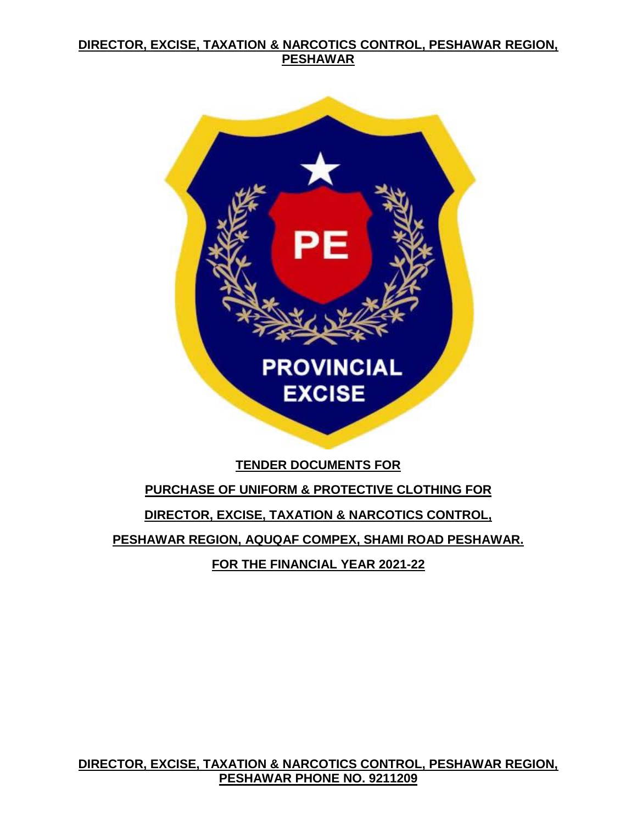

## **TENDER DOCUMENTS FOR**

# **PURCHASE OF UNIFORM & PROTECTIVE CLOTHING FOR DIRECTOR, EXCISE, TAXATION & NARCOTICS CONTROL, PESHAWAR REGION, AQUQAF COMPEX, SHAMI ROAD PESHAWAR. FOR THE FINANCIAL YEAR 2021-22**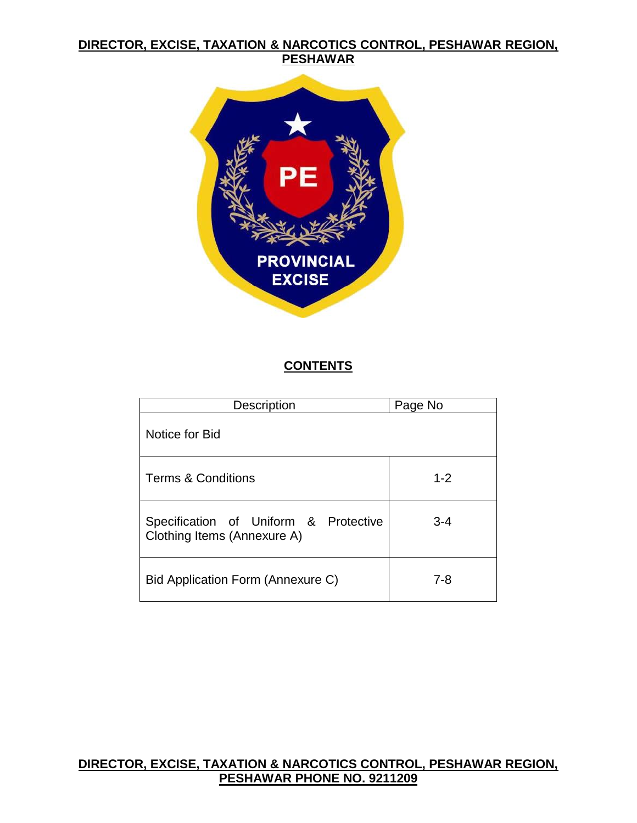

## **CONTENTS**

| <b>Description</b>                                                   | Page No |
|----------------------------------------------------------------------|---------|
| Notice for Bid                                                       |         |
| <b>Terms &amp; Conditions</b>                                        | $1 - 2$ |
| Specification of Uniform & Protective<br>Clothing Items (Annexure A) | $3 - 4$ |
| Bid Application Form (Annexure C)                                    | 7-8     |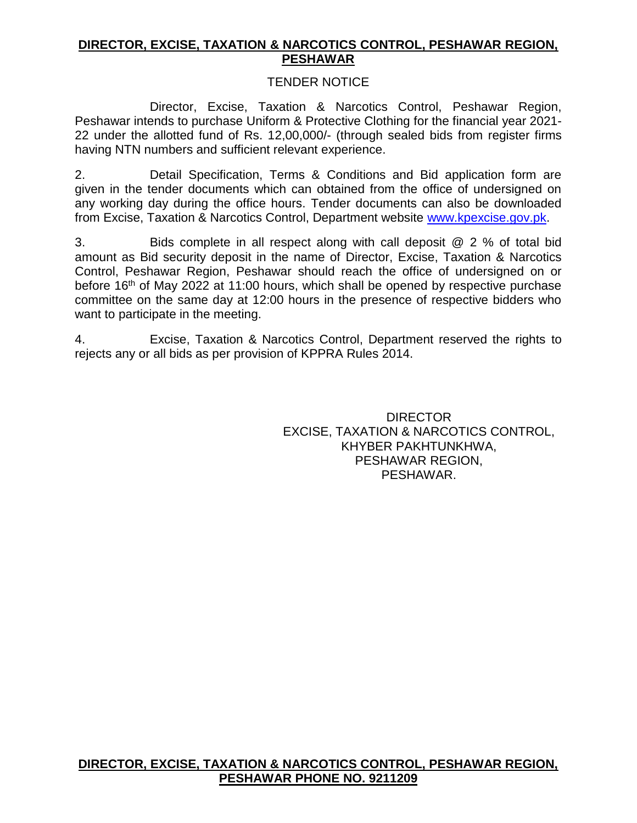#### TENDER NOTICE

Director, Excise, Taxation & Narcotics Control, Peshawar Region, Peshawar intends to purchase Uniform & Protective Clothing for the financial year 2021- 22 under the allotted fund of Rs. 12,00,000/- (through sealed bids from register firms having NTN numbers and sufficient relevant experience.

2. Detail Specification, Terms & Conditions and Bid application form are given in the tender documents which can obtained from the office of undersigned on any working day during the office hours. Tender documents can also be downloaded from Excise, Taxation & Narcotics Control, Department website [www.kpexcise.gov.pk.](http://www.kpexcise.gov.pk/)

3. Bids complete in all respect along with call deposit @ 2 % of total bid amount as Bid security deposit in the name of Director, Excise, Taxation & Narcotics Control, Peshawar Region, Peshawar should reach the office of undersigned on or before 16<sup>th</sup> of May 2022 at 11:00 hours, which shall be opened by respective purchase committee on the same day at 12:00 hours in the presence of respective bidders who want to participate in the meeting.

4. Excise, Taxation & Narcotics Control, Department reserved the rights to rejects any or all bids as per provision of KPPRA Rules 2014.

> DIRECTOR EXCISE, TAXATION & NARCOTICS CONTROL, KHYBER PAKHTUNKHWA, PESHAWAR REGION, PESHAWAR.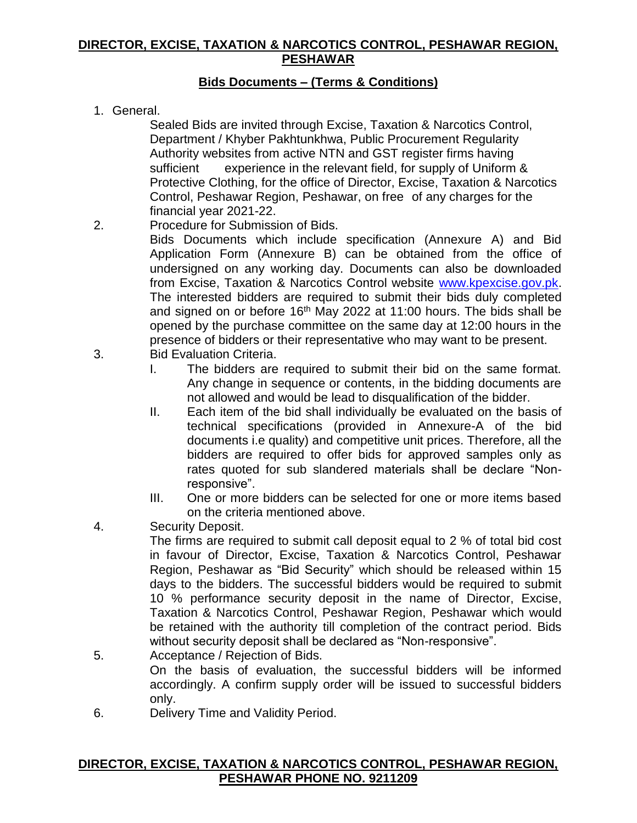# **Bids Documents – (Terms & Conditions)**

1. General.

Sealed Bids are invited through Excise, Taxation & Narcotics Control, Department / Khyber Pakhtunkhwa, Public Procurement Regularity Authority websites from active NTN and GST register firms having sufficient experience in the relevant field, for supply of Uniform & Protective Clothing, for the office of Director, Excise, Taxation & Narcotics Control, Peshawar Region, Peshawar, on free of any charges for the financial year 2021-22.

2. Procedure for Submission of Bids.

Bids Documents which include specification (Annexure A) and Bid Application Form (Annexure B) can be obtained from the office of undersigned on any working day. Documents can also be downloaded from Excise, Taxation & Narcotics Control website [www.kpexcise.gov.pk.](http://www.kpexcise.gov.pk/) The interested bidders are required to submit their bids duly completed and signed on or before 16<sup>th</sup> May 2022 at 11:00 hours. The bids shall be opened by the purchase committee on the same day at 12:00 hours in the presence of bidders or their representative who may want to be present.

- 3. Bid Evaluation Criteria.
	- I. The bidders are required to submit their bid on the same format. Any change in sequence or contents, in the bidding documents are not allowed and would be lead to disqualification of the bidder.
	- II. Each item of the bid shall individually be evaluated on the basis of technical specifications (provided in Annexure-A of the bid documents i.e quality) and competitive unit prices. Therefore, all the bidders are required to offer bids for approved samples only as rates quoted for sub slandered materials shall be declare "Nonresponsive".
	- III. One or more bidders can be selected for one or more items based on the criteria mentioned above.
- 4. Security Deposit.

The firms are required to submit call deposit equal to 2 % of total bid cost in favour of Director, Excise, Taxation & Narcotics Control, Peshawar Region, Peshawar as "Bid Security" which should be released within 15 days to the bidders. The successful bidders would be required to submit 10 % performance security deposit in the name of Director, Excise, Taxation & Narcotics Control, Peshawar Region, Peshawar which would be retained with the authority till completion of the contract period. Bids without security deposit shall be declared as "Non-responsive".

- 5. Acceptance / Rejection of Bids. On the basis of evaluation, the successful bidders will be informed accordingly. A confirm supply order will be issued to successful bidders only.
- 6. Delivery Time and Validity Period.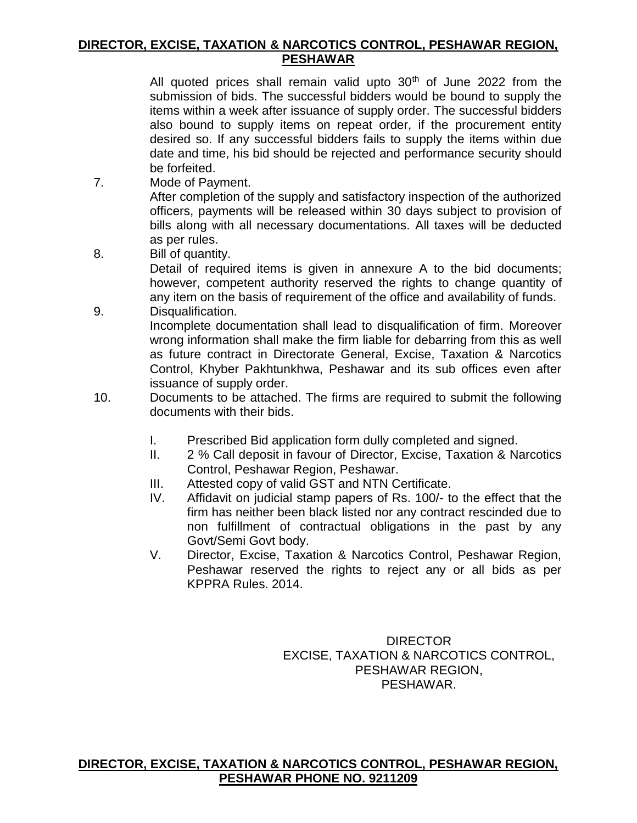All quoted prices shall remain valid upto  $30<sup>th</sup>$  of June 2022 from the submission of bids. The successful bidders would be bound to supply the items within a week after issuance of supply order. The successful bidders also bound to supply items on repeat order, if the procurement entity desired so. If any successful bidders fails to supply the items within due date and time, his bid should be rejected and performance security should be forfeited.

7. Mode of Payment.

After completion of the supply and satisfactory inspection of the authorized officers, payments will be released within 30 days subject to provision of bills along with all necessary documentations. All taxes will be deducted as per rules.

8. Bill of quantity.

Detail of required items is given in annexure A to the bid documents; however, competent authority reserved the rights to change quantity of any item on the basis of requirement of the office and availability of funds.

9. Disqualification.

Incomplete documentation shall lead to disqualification of firm. Moreover wrong information shall make the firm liable for debarring from this as well as future contract in Directorate General, Excise, Taxation & Narcotics Control, Khyber Pakhtunkhwa, Peshawar and its sub offices even after issuance of supply order.

- 10. Documents to be attached. The firms are required to submit the following documents with their bids.
	- I. Prescribed Bid application form dully completed and signed.
	- II. 2 % Call deposit in favour of Director, Excise, Taxation & Narcotics Control, Peshawar Region, Peshawar.
	- III. Attested copy of valid GST and NTN Certificate.
	- IV. Affidavit on judicial stamp papers of Rs. 100/- to the effect that the firm has neither been black listed nor any contract rescinded due to non fulfillment of contractual obligations in the past by any Govt/Semi Govt body.
	- V. Director, Excise, Taxation & Narcotics Control, Peshawar Region, Peshawar reserved the rights to reject any or all bids as per KPPRA Rules. 2014.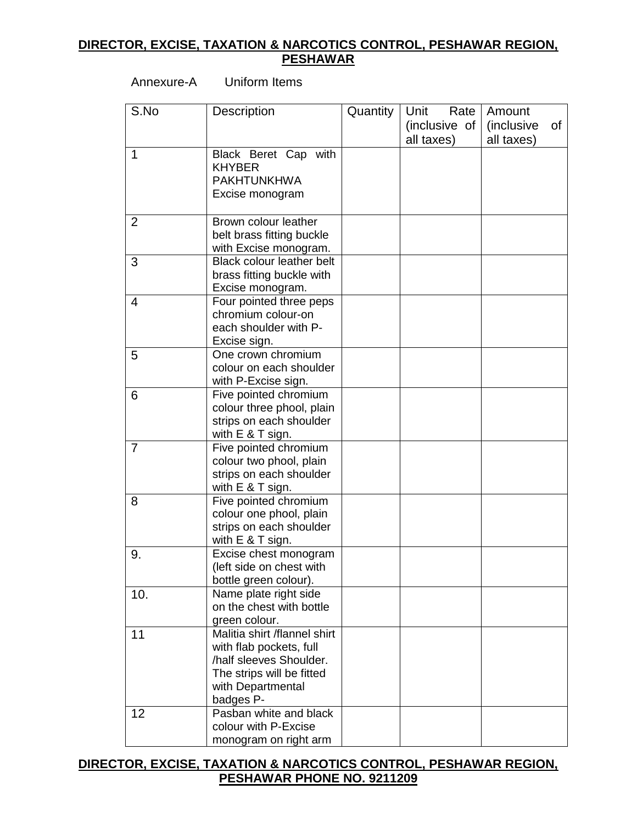Annexure-A Uniform Items

| S.No | Description                                                                                                                                       | Quantity | Rate<br>Unit<br>(inclusive of<br>all taxes) | Amount<br>(inclusive<br>0f<br>all taxes) |
|------|---------------------------------------------------------------------------------------------------------------------------------------------------|----------|---------------------------------------------|------------------------------------------|
| 1    | Black Beret Cap with<br><b>KHYBER</b><br><b>PAKHTUNKHWA</b><br>Excise monogram                                                                    |          |                                             |                                          |
| 2    | Brown colour leather<br>belt brass fitting buckle<br>with Excise monogram.                                                                        |          |                                             |                                          |
| 3    | <b>Black colour leather belt</b><br>brass fitting buckle with<br>Excise monogram.                                                                 |          |                                             |                                          |
| 4    | Four pointed three peps<br>chromium colour-on<br>each shoulder with P-<br>Excise sign.                                                            |          |                                             |                                          |
| 5    | One crown chromium<br>colour on each shoulder<br>with P-Excise sign.                                                                              |          |                                             |                                          |
| 6    | Five pointed chromium<br>colour three phool, plain<br>strips on each shoulder<br>with E & T sign.                                                 |          |                                             |                                          |
| 7    | Five pointed chromium<br>colour two phool, plain<br>strips on each shoulder<br>with $E$ & T sign.                                                 |          |                                             |                                          |
| 8    | Five pointed chromium<br>colour one phool, plain<br>strips on each shoulder<br>with E & T sign.                                                   |          |                                             |                                          |
| 9.   | Excise chest monogram<br>(left side on chest with<br>bottle green colour).                                                                        |          |                                             |                                          |
| 10.  | Name plate right side<br>on the chest with bottle<br>green colour.                                                                                |          |                                             |                                          |
| 11   | Malitia shirt /flannel shirt<br>with flab pockets, full<br>/half sleeves Shoulder.<br>The strips will be fitted<br>with Departmental<br>badges P- |          |                                             |                                          |
| 12   | Pasban white and black<br>colour with P-Excise<br>monogram on right arm                                                                           |          |                                             |                                          |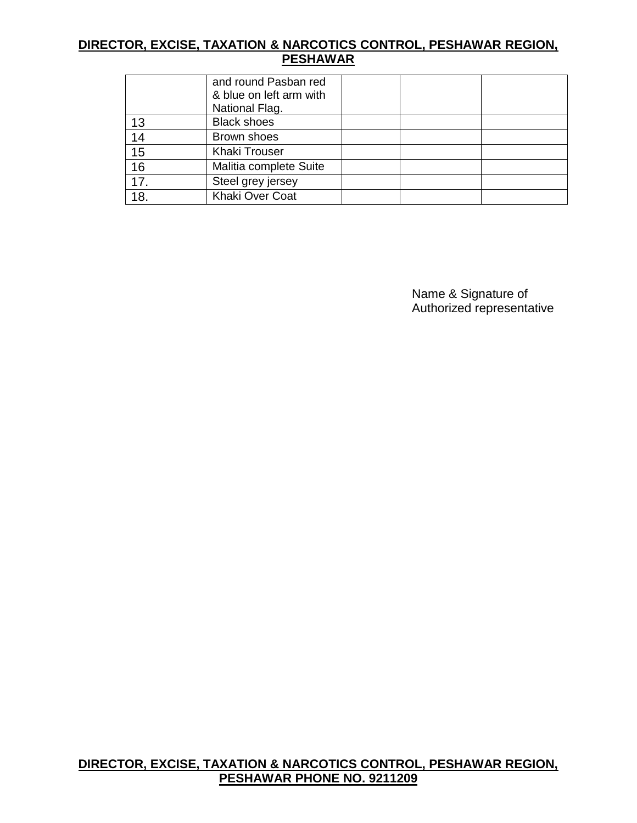|                 | and round Pasban red<br>& blue on left arm with<br>National Flag. |  |
|-----------------|-------------------------------------------------------------------|--|
| 13              | <b>Black shoes</b>                                                |  |
| 14              | Brown shoes                                                       |  |
| $\overline{15}$ | <b>Khaki Trouser</b>                                              |  |
| 16              | Malitia complete Suite                                            |  |
| 17.             | Steel grey jersey                                                 |  |
| 18.             | Khaki Over Coat                                                   |  |

Name & Signature of Authorized representative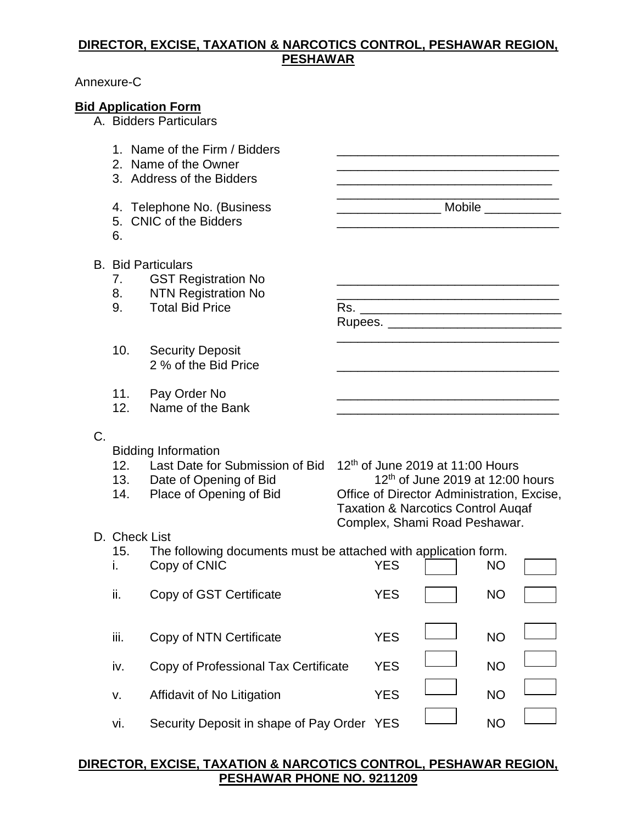#### Annexure-C

#### **Bid Application Form**

A. Bidders Particulars

- 1. Name of the Firm / Bidders
- 2. Name of the Owner \_\_\_\_\_\_\_\_\_\_\_\_\_\_\_\_\_\_\_\_\_\_\_\_\_\_\_\_\_\_\_\_
- 3. Address of the Bidders **Latter and Structure Control** and Structure Control and Structure Control and Structure
- 4. Telephone No. (Business \_\_\_\_\_\_\_\_\_\_\_\_\_\_\_\_\_\_\_\_\_\_\_\_\_\_\_\_\_\_ Mobile \_\_\_\_\_\_\_\_\_\_\_\_\_\_\_
- 5. CNIC of the Bidders
- 6.
- B. Bid Particulars
	- 7. GST Registration No
	- 8. NTN Registration No
	- 9. Total Bid Price Rs. \_\_\_\_\_\_\_\_\_\_\_\_\_\_\_\_\_\_\_\_\_\_\_\_\_\_\_\_\_
	- 10. Security Deposit 2 % of the Bid Price
	- 11. Pay Order No \_\_\_\_\_\_\_\_\_\_\_\_\_\_\_\_\_\_\_\_\_\_\_\_\_\_\_\_\_\_\_\_
	- 12. Name of the Bank \_\_\_\_\_\_\_\_\_\_\_\_\_\_\_\_\_\_\_\_\_\_\_\_\_\_\_\_\_\_\_\_
- C.

Bidding Information

- 12. Last Date for Submission of Bid
- 13. Date of Opening of Bid<br>14. Place of Opening of Bid
- 

 $12<sup>th</sup>$  of June 2019 at 11:00 Hours  $12<sup>th</sup>$  of June 2019 at 12:00 hours 14. Place of Opening of Bid Office of Director Administration, Excise, Taxation & Narcotics Control Auqaf Complex, Shami Road Peshawar.

> ᄀ  $\sqrt{2}$

\_\_\_\_\_\_\_\_\_\_\_\_\_\_\_\_\_\_\_\_\_\_\_\_\_\_\_\_\_\_\_\_

Rupees. \_\_\_\_\_\_\_\_\_\_\_\_\_\_\_\_\_\_\_\_\_\_\_\_\_ \_\_\_\_\_\_\_\_\_\_\_\_\_\_\_\_\_\_\_\_\_\_\_\_\_\_\_\_\_\_\_\_

- D. Check List
	- 15. The following documents must be attached with application form.<br>i Conv of CNIC i. Copy of CNIC YES NO

|      | $         -$                               |            |           |  |
|------|--------------------------------------------|------------|-----------|--|
| ii.  | Copy of GST Certificate                    | <b>YES</b> | <b>NO</b> |  |
| iii. | Copy of NTN Certificate                    | <b>YES</b> | <b>NO</b> |  |
| iv.  | Copy of Professional Tax Certificate       | <b>YES</b> | <b>NO</b> |  |
| v.   | Affidavit of No Litigation                 | <b>YES</b> | <b>NO</b> |  |
| vi.  | Security Deposit in shape of Pay Order YES |            | <b>NO</b> |  |